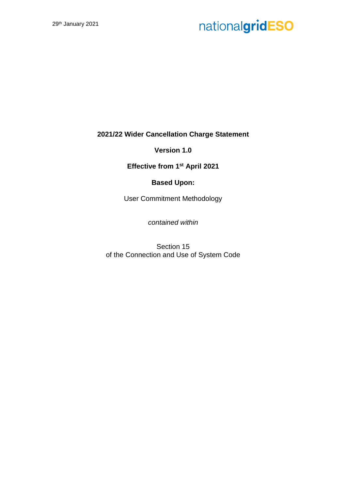**2021/22 Wider Cancellation Charge Statement**

**Version 1.0**

**Effective from 1st April 2021**

### **Based Upon:**

User Commitment Methodology

*contained within*

Section 15 of the Connection and Use of System Code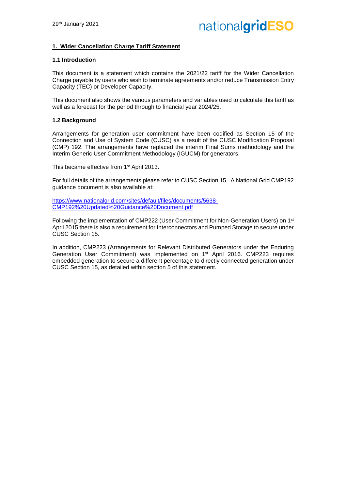#### **1. Wider Cancellation Charge Tariff Statement**

#### **1.1 Introduction**

This document is a statement which contains the 2021/22 tariff for the Wider Cancellation Charge payable by users who wish to terminate agreements and/or reduce Transmission Entry Capacity (TEC) or Developer Capacity.

This document also shows the various parameters and variables used to calculate this tariff as well as a forecast for the period through to financial year 2024/25.

#### **1.2 Background**

Arrangements for generation user commitment have been codified as Section 15 of the Connection and Use of System Code (CUSC) as a result of the CUSC Modification Proposal (CMP) 192. The arrangements have replaced the interim Final Sums methodology and the Interim Generic User Commitment Methodology (IGUCM) for generators.

This became effective from 1<sup>st</sup> April 2013.

For full details of the arrangements please refer to CUSC Section 15. A National Grid CMP192 guidance document is also available at:

https://www.nationalgrid.com/sites/default/files/documents/5638- CMP192%20Updated%20Guidance%20Document.pdf

Following the implementation of CMP222 (User Commitment for Non-Generation Users) on 1st April 2015 there is also a requirement for Interconnectors and Pumped Storage to secure under CUSC Section 15.

In addition, CMP223 (Arrangements for Relevant Distributed Generators under the Enduring Generation User Commitment) was implemented on 1st April 2016. CMP223 requires embedded generation to secure a different percentage to directly connected generation under CUSC Section 15, as detailed within section 5 of this statement.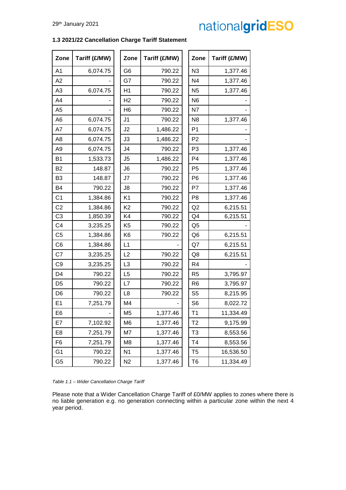#### **1.3 2021/22 Cancellation Charge Tariff Statement**

| Zone           | Tariff (£/MW) | Zone           | Tariff (£/MW) | Zone           | Tariff (£/MW) |
|----------------|---------------|----------------|---------------|----------------|---------------|
| A <sub>1</sub> | 6,074.75      | G <sub>6</sub> | 790.22        | N3             |               |
| A2             |               | G7             | 790.22        | N <sub>4</sub> |               |
| A <sub>3</sub> | 6,074.75      | H1             | 790.22        | N <sub>5</sub> |               |
| A4             |               | H <sub>2</sub> | 790.22        | N <sub>6</sub> |               |
| A <sub>5</sub> |               | H <sub>6</sub> | 790.22        | N7             |               |
| A <sub>6</sub> | 6,074.75      | J <sub>1</sub> | 790.22        | N <sub>8</sub> |               |
| A7             | 6,074.75      | J <sub>2</sub> | 1,486.22      | P <sub>1</sub> |               |
| A <sub>8</sub> | 6,074.75      | J3             | 1,486.22      | P <sub>2</sub> |               |
| A <sub>9</sub> | 6,074.75      | J <sub>4</sub> | 790.22        | P <sub>3</sub> |               |
| <b>B1</b>      | 1,533.73      | J5             | 1,486.22      | P <sub>4</sub> |               |
| <b>B2</b>      | 148.87        | J6             | 790.22        | P <sub>5</sub> |               |
| B <sub>3</sub> | 148.87        | J7             | 790.22        | P <sub>6</sub> |               |
| <b>B4</b>      | 790.22        | J8             | 790.22        | P7             |               |
| C <sub>1</sub> | 1,384.86      | K <sub>1</sub> | 790.22        | P <sub>8</sub> |               |
| C <sub>2</sub> | 1,384.86      | K <sub>2</sub> | 790.22        | Q2             |               |
| C <sub>3</sub> | 1,850.39      | K4             | 790.22        | Q <sub>4</sub> |               |
| C <sub>4</sub> | 3,235.25      | K <sub>5</sub> | 790.22        | Q <sub>5</sub> |               |
| C <sub>5</sub> | 1,384.86      | K <sub>6</sub> | 790.22        | Q <sub>6</sub> |               |
| C <sub>6</sub> | 1,384.86      | L1             |               | Q7             |               |
| C7             | 3,235.25      | L2             | 790.22        | Q8             |               |
| C <sub>9</sub> | 3,235.25      | L3             | 790.22        | R <sub>4</sub> |               |
| D <sub>4</sub> | 790.22        | L <sub>5</sub> | 790.22        | R <sub>5</sub> |               |
| D <sub>5</sub> | 790.22        | L7             | 790.22        | R <sub>6</sub> |               |
| D <sub>6</sub> | 790.22        | L <sub>8</sub> | 790.22        | S <sub>5</sub> |               |
| E <sub>1</sub> | 7,251.79      | M4             |               | S <sub>6</sub> |               |
| E <sub>6</sub> |               | M <sub>5</sub> | 1,377.46      | T <sub>1</sub> |               |
| E7             | 7,102.92      | M <sub>6</sub> | 1,377.46      | T <sub>2</sub> |               |
| E8             | 7,251.79      | M7             | 1,377.46      | T <sub>3</sub> |               |
| F <sub>6</sub> | 7,251.79      | M <sub>8</sub> | 1,377.46      | T4             |               |
| G <sub>1</sub> | 790.22        | N <sub>1</sub> | 1,377.46      | T <sub>5</sub> |               |
| G <sub>5</sub> | 790.22        | N <sub>2</sub> | 1,377.46      | T <sub>6</sub> |               |

*Table 1.1 – Wider Cancellation Charge Tariff*

Please note that a Wider Cancellation Charge Tariff of £0/MW applies to zones where there is no liable generation e.g. no generation connecting within a particular zone within the next 4 year period.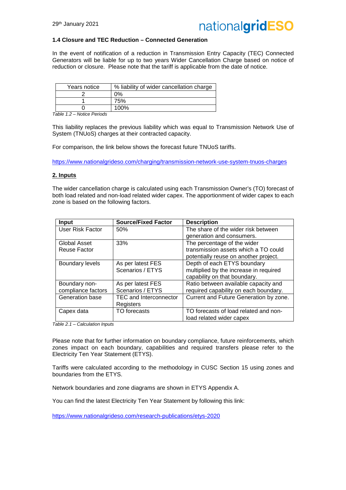

#### **1.4 Closure and TEC Reduction – Connected Generation**

In the event of notification of a reduction in Transmission Entry Capacity (TEC) Connected Generators will be liable for up to two years Wider Cancellation Charge based on notice of reduction or closure. Please note that the tariff is applicable from the date of notice.

| Years notice | % liability of wider cancellation charge |
|--------------|------------------------------------------|
|              | ጋ%                                       |
|              | 75%                                      |
|              | 100%                                     |

*Table 1.2 – Notice Periods*

This liability replaces the previous liability which was equal to Transmission Network Use of System (TNUoS) charges at their contracted capacity.

For comparison, the link below shows the forecast future TNUoS tariffs.

https://www.nationalgrideso.com/charging/transmission-network-use-system-tnuos-charges

#### **2. Inputs**

The wider cancellation charge is calculated using each Transmission Owner's (TO) forecast of both load related and non-load related wider capex. The apportionment of wider capex to each zone is based on the following factors.

| <b>Input</b>           | <b>Source/Fixed Factor</b>    | <b>Description</b>                     |
|------------------------|-------------------------------|----------------------------------------|
| User Risk Factor       | 50%                           | The share of the wider risk between    |
|                        |                               | generation and consumers.              |
| Global Asset           | 33%                           | The percentage of the wider            |
| Reuse Factor           |                               | transmission assets which a TO could   |
|                        |                               | potentially reuse on another project.  |
| <b>Boundary levels</b> | As per latest FES             | Depth of each ETYS boundary            |
|                        | Scenarios / ETYS              | multiplied by the increase in required |
|                        |                               | capability on that boundary.           |
| Boundary non-          | As per latest FES             | Ratio between available capacity and   |
| compliance factors     | Scenarios / ETYS              | required capability on each boundary.  |
| Generation base        | <b>TEC and Interconnector</b> | Current and Future Generation by zone. |
|                        | Registers                     |                                        |
| Capex data             | TO forecasts                  | TO forecasts of load related and non-  |
|                        |                               | load related wider capex               |

*Table 2.1 – Calculation Inputs*

Please note that for further information on boundary compliance, future reinforcements, which zones impact on each boundary, capabilities and required transfers please refer to the Electricity Ten Year Statement (ETYS).

Tariffs were calculated according to the methodology in CUSC Section 15 using zones and boundaries from the ETYS.

Network boundaries and zone diagrams are shown in ETYS Appendix A.

You can find the latest Electricity Ten Year Statement by following this link:

https://www.nationalgrideso.com/research-publications/etys-2020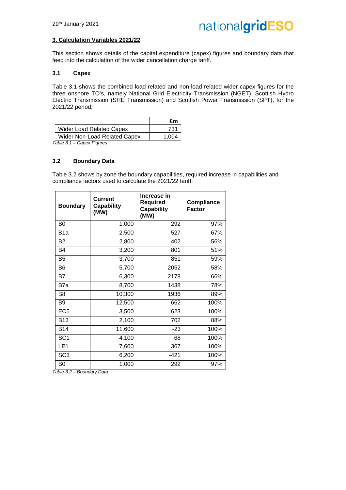#### **3. Calculation Variables 2021/22**

This section shows details of the capital expenditure (capex) figures and boundary data that feed into the calculation of the wider cancellation charge tariff.

#### **3.1 Capex**

Table 3.1 shows the combined load related and non-load related wider capex figures for the three onshore TO's, namely National Grid Electricity Transmission (NGET), Scottish Hydro Electric Transmission (SHE Transmission) and Scottish Power Transmission (SPT), for the 2021/22 period;

|                                 | £m    |
|---------------------------------|-------|
| <b>Wider Load Related Capex</b> | 731   |
| Wider Non-Load Related Capex    | 1.004 |

*Table 3.1 – Capex Figures*

#### **3.2 Boundary Data**

Table 3.2 shows by zone the boundary capabilities, required increase in capabilities and compliance factors used to calculate the 2021/22 tariff:

| <b>Boundary</b>  | <b>Current</b><br><b>Capability</b><br>(MW) | Increase in<br><b>Required</b><br><b>Capability</b><br>(MW) | <b>Compliance</b><br><b>Factor</b> |
|------------------|---------------------------------------------|-------------------------------------------------------------|------------------------------------|
| B <sub>0</sub>   | 1,000                                       | 292                                                         | 97%                                |
| B <sub>1</sub> a | 2,500                                       | 527                                                         | 67%                                |
| <b>B2</b>        | 2,800                                       | 402                                                         | 56%                                |
| <b>B4</b>        | 3,200                                       | 801                                                         | 51%                                |
| B <sub>5</sub>   | 3,700                                       | 851                                                         | 59%                                |
| B <sub>6</sub>   | 5,700                                       | 2052                                                        | 58%                                |
| B7               | 6,300                                       | 2178                                                        | 66%                                |
| B7a              | 8,700                                       | 1438                                                        | 78%                                |
| B <sub>8</sub>   | 10,300                                      | 1936                                                        | 89%                                |
| B <sub>9</sub>   | 12,500                                      | 662                                                         | 100%                               |
| EC <sub>5</sub>  | 3,500                                       | 623                                                         | 100%                               |
| <b>B13</b>       | 2,100                                       | 702                                                         | 88%                                |
| <b>B14</b>       | 11,600                                      | $-23$                                                       | 100%                               |
| SC <sub>1</sub>  | 4,100                                       | 68                                                          | 100%                               |
| LE <sub>1</sub>  | 7,600                                       | 367                                                         | 100%                               |
| SC <sub>3</sub>  | 6,200                                       | -421                                                        | 100%                               |
| B <sub>0</sub>   | 1,000                                       | 292                                                         | 97%                                |

*Table 3.2 – Boundary Data*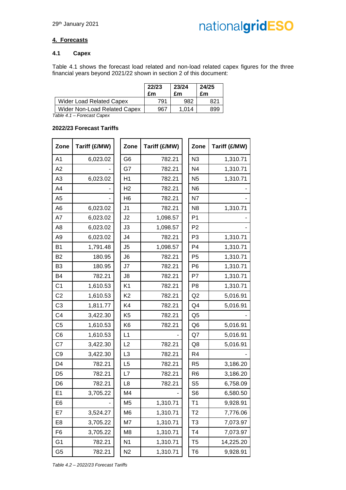#### **4. Forecasts**

#### **4.1 Capex**

Table 4.1 shows the forecast load related and non-load related capex figures for the three financial years beyond 2021/22 shown in section 2 of this document:

|                                 | 22/23<br>£m | 23/24<br>£m | 24/25<br>£m |
|---------------------------------|-------------|-------------|-------------|
| <b>Wider Load Related Capex</b> | 791         | 982         |             |
| Wider Non-Load Related Capex    | 967         | 1 014       | 899         |

*Table 4.1 – Forecast Capex*

#### **2022/23 Forecast Tariffs**

| Zone           | Tariff (£/MW) | Zone           | Tariff (£/MW) | Zone           | Tariff (£/MW) |
|----------------|---------------|----------------|---------------|----------------|---------------|
| A1             | 6,023.02      | G <sub>6</sub> | 782.21        | N <sub>3</sub> | 1,310.71      |
| A2             |               | G7             | 782.21        | N <sub>4</sub> | 1,310.71      |
| A <sub>3</sub> | 6,023.02      | H1             | 782.21        | N <sub>5</sub> | 1,310.71      |
| A4             |               | H <sub>2</sub> | 782.21        | N <sub>6</sub> |               |
| A <sub>5</sub> |               | H <sub>6</sub> | 782.21        | N7             |               |
| A <sub>6</sub> | 6,023.02      | J <sub>1</sub> | 782.21        | N <sub>8</sub> | 1,310.71      |
| A7             | 6,023.02      | J2             | 1,098.57      | P <sub>1</sub> |               |
| A <sub>8</sub> | 6,023.02      | J3             | 1,098.57      | P <sub>2</sub> |               |
| A <sub>9</sub> | 6,023.02      | J <sub>4</sub> | 782.21        | P <sub>3</sub> | 1,310.71      |
| <b>B1</b>      | 1,791.48      | J <sub>5</sub> | 1,098.57      | P <sub>4</sub> | 1,310.71      |
| <b>B2</b>      | 180.95        | J <sub>6</sub> | 782.21        | P <sub>5</sub> | 1,310.71      |
| B <sub>3</sub> | 180.95        | J7             | 782.21        | P <sub>6</sub> | 1,310.71      |
| B <sub>4</sub> | 782.21        | J8             | 782.21        | P7             | 1,310.71      |
| C <sub>1</sub> | 1,610.53      | K <sub>1</sub> | 782.21        | P <sub>8</sub> | 1,310.71      |
| C <sub>2</sub> | 1,610.53      | K <sub>2</sub> | 782.21        | Q <sub>2</sub> | 5,016.91      |
| C <sub>3</sub> | 1,811.77      | K4             | 782.21        | Q <sub>4</sub> | 5,016.91      |
| C <sub>4</sub> | 3,422.30      | K <sub>5</sub> | 782.21        | Q <sub>5</sub> |               |
| C <sub>5</sub> | 1,610.53      | K <sub>6</sub> | 782.21        | Q <sub>6</sub> | 5,016.91      |
| C <sub>6</sub> | 1,610.53      | L1             |               | Q7             | 5,016.91      |
| C7             | 3,422.30      | L <sub>2</sub> | 782.21        | Q8             | 5,016.91      |
| C <sub>9</sub> | 3,422.30      | L3             | 782.21        | R <sub>4</sub> |               |
| D <sub>4</sub> | 782.21        | L5             | 782.21        | R <sub>5</sub> | 3,186.20      |
| D <sub>5</sub> | 782.21        | L7             | 782.21        | R <sub>6</sub> | 3,186.20      |
| D <sub>6</sub> | 782.21        | L8             | 782.21        | S <sub>5</sub> | 6,758.09      |
| E <sub>1</sub> | 3,705.22      | M <sub>4</sub> |               | S <sub>6</sub> | 6,580.50      |
| E6             |               | M <sub>5</sub> | 1,310.71      | T <sub>1</sub> | 9,928.91      |
| E7             | 3,524.27      | M <sub>6</sub> | 1,310.71      | T <sub>2</sub> | 7,776.06      |
| E <sub>8</sub> | 3,705.22      | M7             | 1,310.71      | T <sub>3</sub> | 7,073.97      |
| F <sub>6</sub> | 3,705.22      | M <sub>8</sub> | 1,310.71      | T <sub>4</sub> | 7,073.97      |
| G <sub>1</sub> | 782.21        | N <sub>1</sub> | 1,310.71      | T <sub>5</sub> | 14,225.20     |
| G <sub>5</sub> | 782.21        | N <sub>2</sub> | 1,310.71      | T <sub>6</sub> | 9,928.91      |

*Table 4.2 – 2022/23 Forecast Tariffs*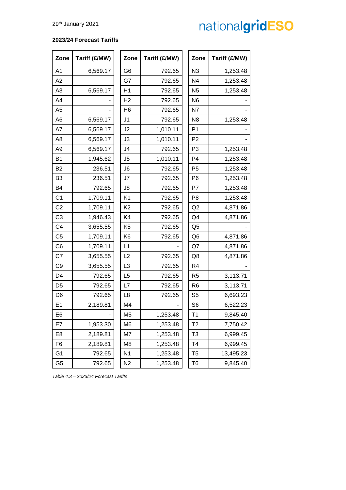#### **2023/24 Forecast Tariffs**

| Zone           | Tariff (£/MW) | Zone           | Tariff (£/MW) | Zone           | Tariff (£/MW) |
|----------------|---------------|----------------|---------------|----------------|---------------|
| A <sub>1</sub> | 6,569.17      | G <sub>6</sub> | 792.65        | N3             | 1,253.48      |
| A2             |               | G7             | 792.65        | N <sub>4</sub> | 1,253.48      |
| A <sub>3</sub> | 6,569.17      | H1             | 792.65        | N <sub>5</sub> | 1,253.48      |
| A4             |               | H <sub>2</sub> | 792.65        | N <sub>6</sub> |               |
| A <sub>5</sub> |               | H <sub>6</sub> | 792.65        | N7             |               |
| A <sub>6</sub> | 6,569.17      | J <sub>1</sub> | 792.65        | N <sub>8</sub> | 1,253.48      |
| A7             | 6,569.17      | J2             | 1,010.11      | P <sub>1</sub> |               |
| A <sub>8</sub> | 6,569.17      | J3             | 1,010.11      | P <sub>2</sub> |               |
| A <sub>9</sub> | 6,569.17      | J <sub>4</sub> | 792.65        | P <sub>3</sub> | 1,253.48      |
| <b>B1</b>      | 1,945.62      | J <sub>5</sub> | 1,010.11      | P <sub>4</sub> | 1,253.48      |
| <b>B2</b>      | 236.51        | J <sub>6</sub> | 792.65        | P <sub>5</sub> | 1,253.48      |
| B <sub>3</sub> | 236.51        | J7             | 792.65        | P <sub>6</sub> | 1,253.48      |
| <b>B4</b>      | 792.65        | J8             | 792.65        | P7             | 1,253.48      |
| C <sub>1</sub> | 1,709.11      | K <sub>1</sub> | 792.65        | P <sub>8</sub> | 1,253.48      |
| C <sub>2</sub> | 1,709.11      | K <sub>2</sub> | 792.65        | Q2             | 4,871.86      |
| C <sub>3</sub> | 1,946.43      | K4             | 792.65        | Q <sub>4</sub> | 4,871.86      |
| C <sub>4</sub> | 3,655.55      | K <sub>5</sub> | 792.65        | Q <sub>5</sub> |               |
| C <sub>5</sub> | 1,709.11      | K <sub>6</sub> | 792.65        | Q <sub>6</sub> | 4,871.86      |
| C6             | 1,709.11      | L1             |               | Q7             | 4,871.86      |
| C7             | 3,655.55      | L2             | 792.65        | Q8             | 4,871.86      |
| C <sub>9</sub> | 3,655.55      | L <sub>3</sub> | 792.65        | R <sub>4</sub> |               |
| D <sub>4</sub> | 792.65        | L <sub>5</sub> | 792.65        | R <sub>5</sub> | 3,113.71      |
| D <sub>5</sub> | 792.65        | L7             | 792.65        | R <sub>6</sub> | 3,113.71      |
| D <sub>6</sub> | 792.65        | L8             | 792.65        | S <sub>5</sub> | 6,693.23      |
| E <sub>1</sub> | 2,189.81      | M <sub>4</sub> |               | S <sub>6</sub> | 6,522.23      |
| E <sub>6</sub> |               | M <sub>5</sub> | 1,253.48      | T1             | 9,845.40      |
| E7             | 1,953.30      | M <sub>6</sub> | 1,253.48      | T <sub>2</sub> | 7,750.42      |
| E <sub>8</sub> | 2,189.81      | M7             | 1,253.48      | T <sub>3</sub> | 6,999.45      |
| F <sub>6</sub> | 2,189.81      | M <sub>8</sub> | 1,253.48      | T <sub>4</sub> | 6,999.45      |
| G <sub>1</sub> | 792.65        | N <sub>1</sub> | 1,253.48      | T <sub>5</sub> | 13,495.23     |
| G <sub>5</sub> | 792.65        | N <sub>2</sub> | 1,253.48      | T <sub>6</sub> | 9,845.40      |

*Table 4.3 – 2023/24 Forecast Tariffs*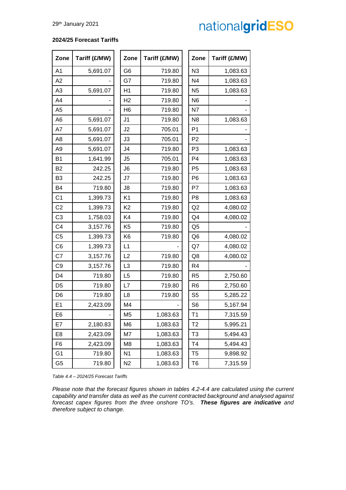#### **2024/25 Forecast Tariffs**

| Zone           | Tariff (£/MW) | Zone           | Tariff (£/MW) | Zone           | Tariff (£/MW) |
|----------------|---------------|----------------|---------------|----------------|---------------|
| A <sub>1</sub> | 5,691.07      | G <sub>6</sub> | 719.80        | N <sub>3</sub> | 1,083.63      |
| A2             |               | G7             | 719.80        | N <sub>4</sub> | 1,083.63      |
| A <sub>3</sub> | 5,691.07      | H1             | 719.80        | N <sub>5</sub> | 1,083.63      |
| A4             |               | H <sub>2</sub> | 719.80        | N <sub>6</sub> |               |
| A <sub>5</sub> |               | H <sub>6</sub> | 719.80        | N7             |               |
| A <sub>6</sub> | 5,691.07      | J <sub>1</sub> | 719.80        | N <sub>8</sub> | 1,083.63      |
| A7             | 5,691.07      | J <sub>2</sub> | 705.01        | P <sub>1</sub> |               |
| A <sub>8</sub> | 5,691.07      | J3             | 705.01        | P <sub>2</sub> |               |
| A <sub>9</sub> | 5,691.07      | J <sub>4</sub> | 719.80        | P <sub>3</sub> | 1,083.63      |
| B <sub>1</sub> | 1,641.99      | J <sub>5</sub> | 705.01        | P <sub>4</sub> | 1,083.63      |
| <b>B2</b>      | 242.25        | J6             | 719.80        | P <sub>5</sub> | 1,083.63      |
| B <sub>3</sub> | 242.25        | J7             | 719.80        | P <sub>6</sub> | 1,083.63      |
| B4             | 719.80        | J8             | 719.80        | P7             | 1,083.63      |
| C <sub>1</sub> | 1,399.73      | K <sub>1</sub> | 719.80        | P <sub>8</sub> | 1,083.63      |
| C <sub>2</sub> | 1,399.73      | K <sub>2</sub> | 719.80        | Q2             | 4,080.02      |
| C <sub>3</sub> | 1,758.03      | K4             | 719.80        | Q4             | 4,080.02      |
| C <sub>4</sub> | 3,157.76      | K <sub>5</sub> | 719.80        | Q <sub>5</sub> |               |
| C <sub>5</sub> | 1,399.73      | K <sub>6</sub> | 719.80        | Q <sub>6</sub> | 4,080.02      |
| C <sub>6</sub> | 1,399.73      | L1             |               | Q7             | 4,080.02      |
| C7             | 3,157.76      | L2             | 719.80        | Q8             | 4,080.02      |
| C <sub>9</sub> | 3,157.76      | L <sub>3</sub> | 719.80        | R <sub>4</sub> |               |
| D <sub>4</sub> | 719.80        | L <sub>5</sub> | 719.80        | R <sub>5</sub> | 2,750.60      |
| D <sub>5</sub> | 719.80        | L7             | 719.80        | R <sub>6</sub> | 2,750.60      |
| D <sub>6</sub> | 719.80        | L <sub>8</sub> | 719.80        | S <sub>5</sub> | 5,285.22      |
| E <sub>1</sub> | 2,423.09      | M <sub>4</sub> |               | S <sub>6</sub> | 5,167.94      |
| E <sub>6</sub> |               | M <sub>5</sub> | 1,083.63      | T <sub>1</sub> | 7,315.59      |
| E7             | 2,180.83      | M <sub>6</sub> | 1,083.63      | T <sub>2</sub> | 5,995.21      |
| E8             | 2,423.09      | M7             | 1,083.63      | T <sub>3</sub> | 5,494.43      |
| F <sub>6</sub> | 2,423.09      | M <sub>8</sub> | 1,083.63      | T <sub>4</sub> | 5,494.43      |
| G <sub>1</sub> | 719.80        | N <sub>1</sub> | 1,083.63      | T <sub>5</sub> | 9,898.92      |
| G <sub>5</sub> | 719.80        | N <sub>2</sub> | 1,083.63      | T <sub>6</sub> | 7,315.59      |

*Table 4.4 – 2024/25 Forecast Tariffs*

*Please note that the forecast figures shown in tables 4.2-4.4 are calculated using the current capability and transfer data as well as the current contracted background and analysed against forecast capex figures from the three onshore TO's. These figures are indicative and therefore subject to change.*